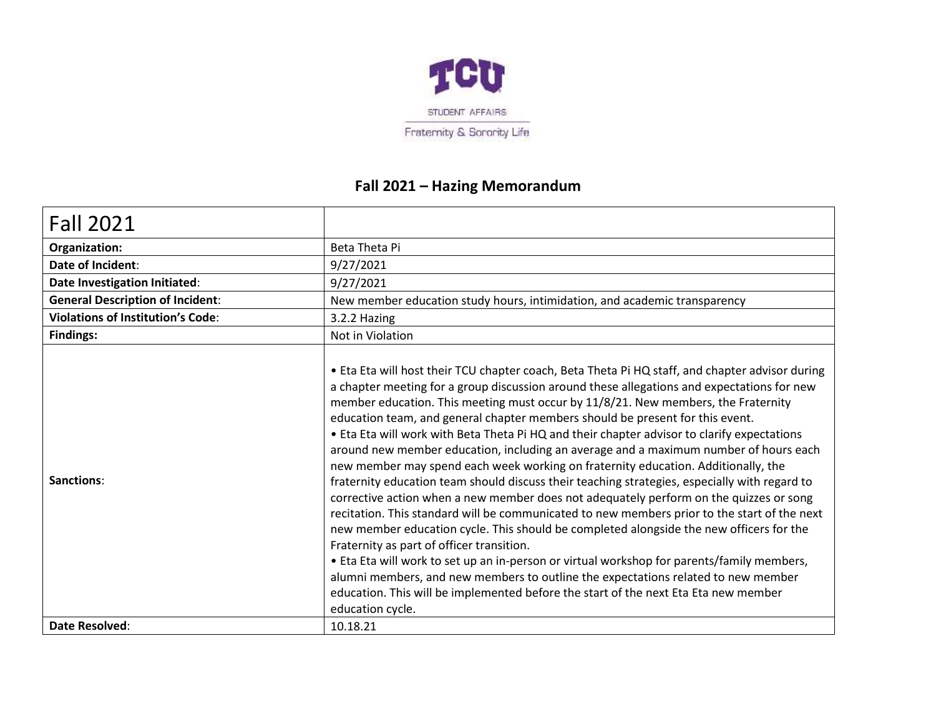

## **Fall 2021 – Hazing Memorandum**

| Beta Theta Pi                                                                                                                                                                                                                                                                                                                                                                                                                                                                                                                                                                                                                                                                                                                                                                                                                                                                                                                                                                                                                                                                                                                                                                                                                                                                                                                                                                    |
|----------------------------------------------------------------------------------------------------------------------------------------------------------------------------------------------------------------------------------------------------------------------------------------------------------------------------------------------------------------------------------------------------------------------------------------------------------------------------------------------------------------------------------------------------------------------------------------------------------------------------------------------------------------------------------------------------------------------------------------------------------------------------------------------------------------------------------------------------------------------------------------------------------------------------------------------------------------------------------------------------------------------------------------------------------------------------------------------------------------------------------------------------------------------------------------------------------------------------------------------------------------------------------------------------------------------------------------------------------------------------------|
| 9/27/2021                                                                                                                                                                                                                                                                                                                                                                                                                                                                                                                                                                                                                                                                                                                                                                                                                                                                                                                                                                                                                                                                                                                                                                                                                                                                                                                                                                        |
| 9/27/2021                                                                                                                                                                                                                                                                                                                                                                                                                                                                                                                                                                                                                                                                                                                                                                                                                                                                                                                                                                                                                                                                                                                                                                                                                                                                                                                                                                        |
| New member education study hours, intimidation, and academic transparency                                                                                                                                                                                                                                                                                                                                                                                                                                                                                                                                                                                                                                                                                                                                                                                                                                                                                                                                                                                                                                                                                                                                                                                                                                                                                                        |
| 3.2.2 Hazing                                                                                                                                                                                                                                                                                                                                                                                                                                                                                                                                                                                                                                                                                                                                                                                                                                                                                                                                                                                                                                                                                                                                                                                                                                                                                                                                                                     |
| Not in Violation                                                                                                                                                                                                                                                                                                                                                                                                                                                                                                                                                                                                                                                                                                                                                                                                                                                                                                                                                                                                                                                                                                                                                                                                                                                                                                                                                                 |
| • Eta Eta will host their TCU chapter coach, Beta Theta Pi HQ staff, and chapter advisor during<br>a chapter meeting for a group discussion around these allegations and expectations for new<br>member education. This meeting must occur by 11/8/21. New members, the Fraternity<br>education team, and general chapter members should be present for this event.<br>. Eta Eta will work with Beta Theta Pi HQ and their chapter advisor to clarify expectations<br>around new member education, including an average and a maximum number of hours each<br>new member may spend each week working on fraternity education. Additionally, the<br>fraternity education team should discuss their teaching strategies, especially with regard to<br>corrective action when a new member does not adequately perform on the quizzes or song<br>recitation. This standard will be communicated to new members prior to the start of the next<br>new member education cycle. This should be completed alongside the new officers for the<br>Fraternity as part of officer transition.<br>. Eta Eta will work to set up an in-person or virtual workshop for parents/family members,<br>alumni members, and new members to outline the expectations related to new member<br>education. This will be implemented before the start of the next Eta Eta new member<br>education cycle. |
| 10.18.21                                                                                                                                                                                                                                                                                                                                                                                                                                                                                                                                                                                                                                                                                                                                                                                                                                                                                                                                                                                                                                                                                                                                                                                                                                                                                                                                                                         |
|                                                                                                                                                                                                                                                                                                                                                                                                                                                                                                                                                                                                                                                                                                                                                                                                                                                                                                                                                                                                                                                                                                                                                                                                                                                                                                                                                                                  |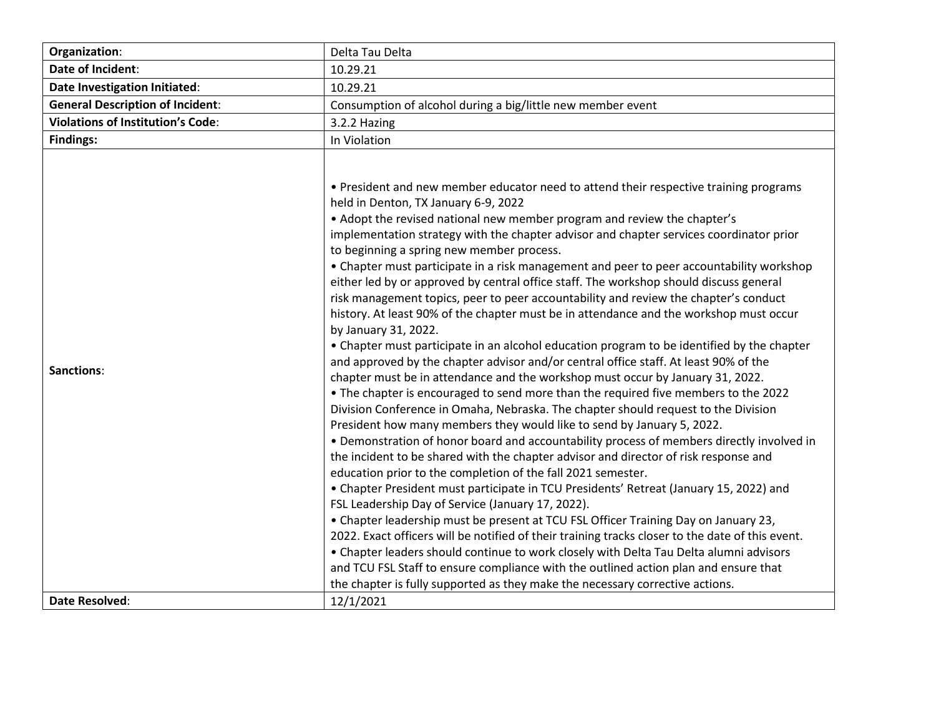| Organization:                            | Delta Tau Delta                                                                                                                                                                                                                                                                                                                                                                                                                                                                                                                                                                                                                                                                                                                                                                                                                                                                                                                                                                                                                                                                                                                                                                                                                                                                                                                                                                                                                                                                                                                                                                                                                                                                                                                                                                                                                                                                                                                                                                                                                                                                                                                                                 |
|------------------------------------------|-----------------------------------------------------------------------------------------------------------------------------------------------------------------------------------------------------------------------------------------------------------------------------------------------------------------------------------------------------------------------------------------------------------------------------------------------------------------------------------------------------------------------------------------------------------------------------------------------------------------------------------------------------------------------------------------------------------------------------------------------------------------------------------------------------------------------------------------------------------------------------------------------------------------------------------------------------------------------------------------------------------------------------------------------------------------------------------------------------------------------------------------------------------------------------------------------------------------------------------------------------------------------------------------------------------------------------------------------------------------------------------------------------------------------------------------------------------------------------------------------------------------------------------------------------------------------------------------------------------------------------------------------------------------------------------------------------------------------------------------------------------------------------------------------------------------------------------------------------------------------------------------------------------------------------------------------------------------------------------------------------------------------------------------------------------------------------------------------------------------------------------------------------------------|
| Date of Incident:                        | 10.29.21                                                                                                                                                                                                                                                                                                                                                                                                                                                                                                                                                                                                                                                                                                                                                                                                                                                                                                                                                                                                                                                                                                                                                                                                                                                                                                                                                                                                                                                                                                                                                                                                                                                                                                                                                                                                                                                                                                                                                                                                                                                                                                                                                        |
| Date Investigation Initiated:            | 10.29.21                                                                                                                                                                                                                                                                                                                                                                                                                                                                                                                                                                                                                                                                                                                                                                                                                                                                                                                                                                                                                                                                                                                                                                                                                                                                                                                                                                                                                                                                                                                                                                                                                                                                                                                                                                                                                                                                                                                                                                                                                                                                                                                                                        |
| <b>General Description of Incident:</b>  | Consumption of alcohol during a big/little new member event                                                                                                                                                                                                                                                                                                                                                                                                                                                                                                                                                                                                                                                                                                                                                                                                                                                                                                                                                                                                                                                                                                                                                                                                                                                                                                                                                                                                                                                                                                                                                                                                                                                                                                                                                                                                                                                                                                                                                                                                                                                                                                     |
| <b>Violations of Institution's Code:</b> | 3.2.2 Hazing                                                                                                                                                                                                                                                                                                                                                                                                                                                                                                                                                                                                                                                                                                                                                                                                                                                                                                                                                                                                                                                                                                                                                                                                                                                                                                                                                                                                                                                                                                                                                                                                                                                                                                                                                                                                                                                                                                                                                                                                                                                                                                                                                    |
| <b>Findings:</b>                         | In Violation                                                                                                                                                                                                                                                                                                                                                                                                                                                                                                                                                                                                                                                                                                                                                                                                                                                                                                                                                                                                                                                                                                                                                                                                                                                                                                                                                                                                                                                                                                                                                                                                                                                                                                                                                                                                                                                                                                                                                                                                                                                                                                                                                    |
| Sanctions:<br><b>Date Resolved:</b>      | . President and new member educator need to attend their respective training programs<br>held in Denton, TX January 6-9, 2022<br>• Adopt the revised national new member program and review the chapter's<br>implementation strategy with the chapter advisor and chapter services coordinator prior<br>to beginning a spring new member process.<br>• Chapter must participate in a risk management and peer to peer accountability workshop<br>either led by or approved by central office staff. The workshop should discuss general<br>risk management topics, peer to peer accountability and review the chapter's conduct<br>history. At least 90% of the chapter must be in attendance and the workshop must occur<br>by January 31, 2022.<br>• Chapter must participate in an alcohol education program to be identified by the chapter<br>and approved by the chapter advisor and/or central office staff. At least 90% of the<br>chapter must be in attendance and the workshop must occur by January 31, 2022.<br>• The chapter is encouraged to send more than the required five members to the 2022<br>Division Conference in Omaha, Nebraska. The chapter should request to the Division<br>President how many members they would like to send by January 5, 2022.<br>. Demonstration of honor board and accountability process of members directly involved in<br>the incident to be shared with the chapter advisor and director of risk response and<br>education prior to the completion of the fall 2021 semester.<br>• Chapter President must participate in TCU Presidents' Retreat (January 15, 2022) and<br>FSL Leadership Day of Service (January 17, 2022).<br>• Chapter leadership must be present at TCU FSL Officer Training Day on January 23,<br>2022. Exact officers will be notified of their training tracks closer to the date of this event.<br>• Chapter leaders should continue to work closely with Delta Tau Delta alumni advisors<br>and TCU FSL Staff to ensure compliance with the outlined action plan and ensure that<br>the chapter is fully supported as they make the necessary corrective actions.<br>12/1/2021 |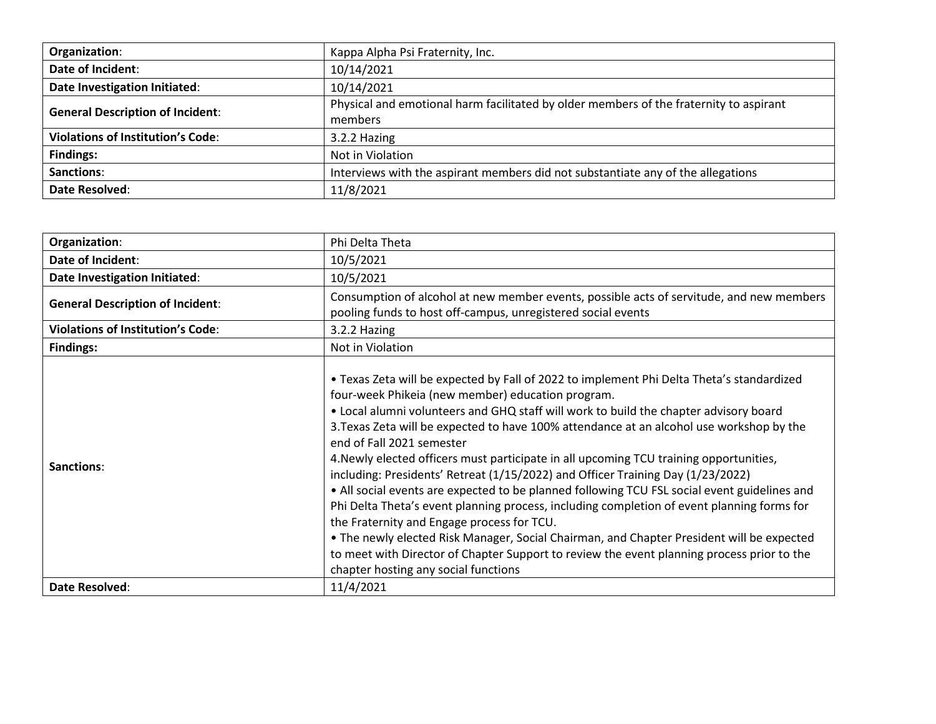| Organization:                            | Kappa Alpha Psi Fraternity, Inc.                                                                  |
|------------------------------------------|---------------------------------------------------------------------------------------------------|
| Date of Incident:                        | 10/14/2021                                                                                        |
| Date Investigation Initiated:            | 10/14/2021                                                                                        |
| <b>General Description of Incident:</b>  | Physical and emotional harm facilitated by older members of the fraternity to aspirant<br>members |
| <b>Violations of Institution's Code:</b> | 3.2.2 Hazing                                                                                      |
| <b>Findings:</b>                         | Not in Violation                                                                                  |
| Sanctions:                               | Interviews with the aspirant members did not substantiate any of the allegations                  |
| Date Resolved:                           | 11/8/2021                                                                                         |

| Organization:                            | Phi Delta Theta                                                                                                                                                                                                                                                                                                                                                                                                                                                                                                                                                                                                                                                                                                                                                                                                                                                                                                                                                                                                              |
|------------------------------------------|------------------------------------------------------------------------------------------------------------------------------------------------------------------------------------------------------------------------------------------------------------------------------------------------------------------------------------------------------------------------------------------------------------------------------------------------------------------------------------------------------------------------------------------------------------------------------------------------------------------------------------------------------------------------------------------------------------------------------------------------------------------------------------------------------------------------------------------------------------------------------------------------------------------------------------------------------------------------------------------------------------------------------|
| Date of Incident:                        | 10/5/2021                                                                                                                                                                                                                                                                                                                                                                                                                                                                                                                                                                                                                                                                                                                                                                                                                                                                                                                                                                                                                    |
| Date Investigation Initiated:            | 10/5/2021                                                                                                                                                                                                                                                                                                                                                                                                                                                                                                                                                                                                                                                                                                                                                                                                                                                                                                                                                                                                                    |
| <b>General Description of Incident:</b>  | Consumption of alcohol at new member events, possible acts of servitude, and new members<br>pooling funds to host off-campus, unregistered social events                                                                                                                                                                                                                                                                                                                                                                                                                                                                                                                                                                                                                                                                                                                                                                                                                                                                     |
| <b>Violations of Institution's Code:</b> | 3.2.2 Hazing                                                                                                                                                                                                                                                                                                                                                                                                                                                                                                                                                                                                                                                                                                                                                                                                                                                                                                                                                                                                                 |
| <b>Findings:</b>                         | Not in Violation                                                                                                                                                                                                                                                                                                                                                                                                                                                                                                                                                                                                                                                                                                                                                                                                                                                                                                                                                                                                             |
| Sanctions:                               | . Texas Zeta will be expected by Fall of 2022 to implement Phi Delta Theta's standardized<br>four-week Phikeia (new member) education program.<br>. Local alumni volunteers and GHQ staff will work to build the chapter advisory board<br>3. Texas Zeta will be expected to have 100% attendance at an alcohol use workshop by the<br>end of Fall 2021 semester<br>4. Newly elected officers must participate in all upcoming TCU training opportunities,<br>including: Presidents' Retreat (1/15/2022) and Officer Training Day (1/23/2022)<br>• All social events are expected to be planned following TCU FSL social event guidelines and<br>Phi Delta Theta's event planning process, including completion of event planning forms for<br>the Fraternity and Engage process for TCU.<br>• The newly elected Risk Manager, Social Chairman, and Chapter President will be expected<br>to meet with Director of Chapter Support to review the event planning process prior to the<br>chapter hosting any social functions |
| Date Resolved:                           | 11/4/2021                                                                                                                                                                                                                                                                                                                                                                                                                                                                                                                                                                                                                                                                                                                                                                                                                                                                                                                                                                                                                    |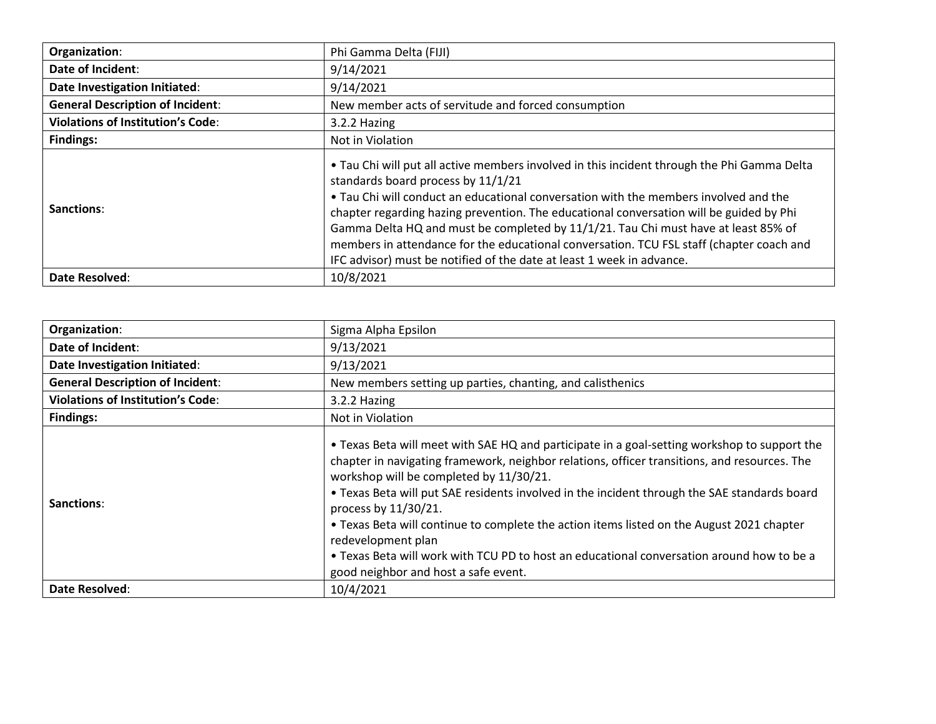| Organization:                            | Phi Gamma Delta (FIJI)                                                                                                                                                                                                                                                                                                                                                                                                                                                                                                                                                          |
|------------------------------------------|---------------------------------------------------------------------------------------------------------------------------------------------------------------------------------------------------------------------------------------------------------------------------------------------------------------------------------------------------------------------------------------------------------------------------------------------------------------------------------------------------------------------------------------------------------------------------------|
| Date of Incident:                        | 9/14/2021                                                                                                                                                                                                                                                                                                                                                                                                                                                                                                                                                                       |
| Date Investigation Initiated:            | 9/14/2021                                                                                                                                                                                                                                                                                                                                                                                                                                                                                                                                                                       |
| <b>General Description of Incident:</b>  | New member acts of servitude and forced consumption                                                                                                                                                                                                                                                                                                                                                                                                                                                                                                                             |
| <b>Violations of Institution's Code:</b> | 3.2.2 Hazing                                                                                                                                                                                                                                                                                                                                                                                                                                                                                                                                                                    |
| <b>Findings:</b>                         | Not in Violation                                                                                                                                                                                                                                                                                                                                                                                                                                                                                                                                                                |
| Sanctions:                               | . Tau Chi will put all active members involved in this incident through the Phi Gamma Delta<br>standards board process by 11/1/21<br>• Tau Chi will conduct an educational conversation with the members involved and the<br>chapter regarding hazing prevention. The educational conversation will be guided by Phi<br>Gamma Delta HQ and must be completed by 11/1/21. Tau Chi must have at least 85% of<br>members in attendance for the educational conversation. TCU FSL staff (chapter coach and<br>IFC advisor) must be notified of the date at least 1 week in advance. |
| Date Resolved:                           | 10/8/2021                                                                                                                                                                                                                                                                                                                                                                                                                                                                                                                                                                       |

| Organization:                            | Sigma Alpha Epsilon                                                                                                                                                                                                                                                                                                                                                                                                                                                                                                                                                                                                     |
|------------------------------------------|-------------------------------------------------------------------------------------------------------------------------------------------------------------------------------------------------------------------------------------------------------------------------------------------------------------------------------------------------------------------------------------------------------------------------------------------------------------------------------------------------------------------------------------------------------------------------------------------------------------------------|
| Date of Incident:                        | 9/13/2021                                                                                                                                                                                                                                                                                                                                                                                                                                                                                                                                                                                                               |
| Date Investigation Initiated:            | 9/13/2021                                                                                                                                                                                                                                                                                                                                                                                                                                                                                                                                                                                                               |
| <b>General Description of Incident:</b>  | New members setting up parties, chanting, and calisthenics                                                                                                                                                                                                                                                                                                                                                                                                                                                                                                                                                              |
| <b>Violations of Institution's Code:</b> | 3.2.2 Hazing                                                                                                                                                                                                                                                                                                                                                                                                                                                                                                                                                                                                            |
| Findings:                                | Not in Violation                                                                                                                                                                                                                                                                                                                                                                                                                                                                                                                                                                                                        |
| Sanctions:                               | • Texas Beta will meet with SAE HQ and participate in a goal-setting workshop to support the<br>chapter in navigating framework, neighbor relations, officer transitions, and resources. The<br>workshop will be completed by 11/30/21.<br>. Texas Beta will put SAE residents involved in the incident through the SAE standards board<br>process by 11/30/21.<br>• Texas Beta will continue to complete the action items listed on the August 2021 chapter<br>redevelopment plan<br>. Texas Beta will work with TCU PD to host an educational conversation around how to be a<br>good neighbor and host a safe event. |
| Date Resolved:                           | 10/4/2021                                                                                                                                                                                                                                                                                                                                                                                                                                                                                                                                                                                                               |